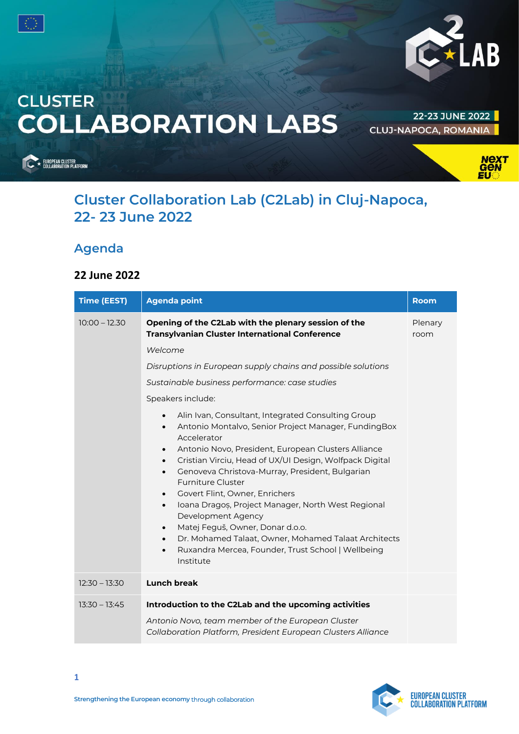



# **CLUSTER COLLABORATION LABS**

22-23 JUNE 2022 **CLUJ-NAPOCA, ROMANIA** 

EUROPEAN CLUSTER<br>COLLABORATION PLATFORM



## **Cluster Collaboration Lab (C2Lab) in Cluj-Napoca, 22- 23 June 2022**

## **Agenda**

#### **22 June 2022**

| <b>Time (EEST)</b> | <b>Agenda point</b>                                                                                                                                                                                                                                                                                                                                                                                                                                                                                                                                                                                                                                                                                                                | Room            |
|--------------------|------------------------------------------------------------------------------------------------------------------------------------------------------------------------------------------------------------------------------------------------------------------------------------------------------------------------------------------------------------------------------------------------------------------------------------------------------------------------------------------------------------------------------------------------------------------------------------------------------------------------------------------------------------------------------------------------------------------------------------|-----------------|
| $10:00 - 12.30$    | Opening of the C2Lab with the plenary session of the<br><b>Transylvanian Cluster International Conference</b>                                                                                                                                                                                                                                                                                                                                                                                                                                                                                                                                                                                                                      | Plenary<br>room |
|                    | Welcome                                                                                                                                                                                                                                                                                                                                                                                                                                                                                                                                                                                                                                                                                                                            |                 |
|                    | Disruptions in European supply chains and possible solutions                                                                                                                                                                                                                                                                                                                                                                                                                                                                                                                                                                                                                                                                       |                 |
|                    | Sustainable business performance: case studies                                                                                                                                                                                                                                                                                                                                                                                                                                                                                                                                                                                                                                                                                     |                 |
|                    | Speakers include:                                                                                                                                                                                                                                                                                                                                                                                                                                                                                                                                                                                                                                                                                                                  |                 |
|                    | Alin Ivan, Consultant, Integrated Consulting Group<br>$\bullet$<br>Antonio Montalvo, Senior Project Manager, FundingBox<br>$\bullet$<br>Accelerator<br>Antonio Novo, President, European Clusters Alliance<br>$\bullet$<br>Cristian Virciu, Head of UX/UI Design, Wolfpack Digital<br>$\bullet$<br>Genoveva Christova-Murray, President, Bulgarian<br>$\bullet$<br>Furniture Cluster<br>Govert Flint, Owner, Enrichers<br>$\bullet$<br>Ioana Dragos, Project Manager, North West Regional<br>$\bullet$<br>Development Agency<br>Matej Feguš, Owner, Donar d.o.o.<br>$\bullet$<br>Dr. Mohamed Talaat, Owner, Mohamed Talaat Architects<br>$\bullet$<br>Ruxandra Mercea, Founder, Trust School   Wellbeing<br>$\bullet$<br>Institute |                 |
| $12:30 - 13:30$    | <b>Lunch break</b>                                                                                                                                                                                                                                                                                                                                                                                                                                                                                                                                                                                                                                                                                                                 |                 |
| $13:30 - 13:45$    | Introduction to the C2Lab and the upcoming activities<br>Antonio Novo, team member of the European Cluster<br>Collaboration Platform, President European Clusters Alliance                                                                                                                                                                                                                                                                                                                                                                                                                                                                                                                                                         |                 |

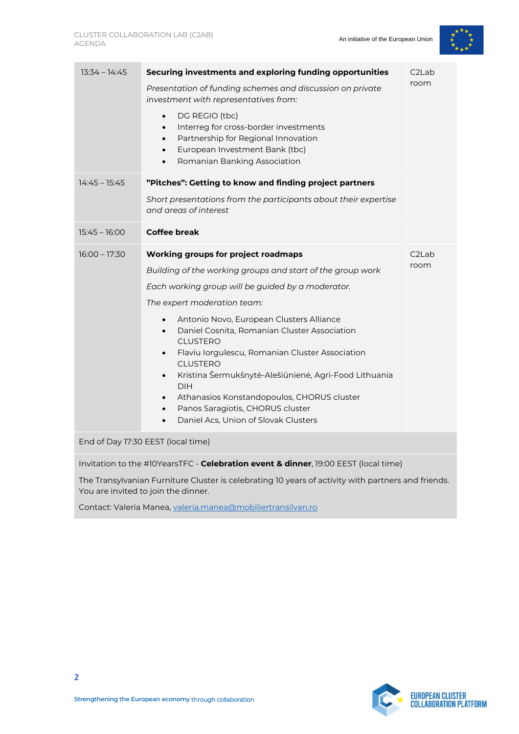

| $13:34 - 14:45$                                                                                                                                                                             | Securing investments and exploring funding opportunities<br>Presentation of funding schemes and discussion on private<br>investment with representatives from:<br>DG REGIO (tbc)<br>$\bullet$<br>Interreg for cross-border investments<br>$\bullet$<br>Partnership for Regional Innovation<br>$\bullet$<br>European Investment Bank (tbc)<br>$\bullet$<br>Romanian Banking Association<br>$\bullet$                                                                                                                                                                                                                | C <sub>2</sub> Lab<br>room |  |  |
|---------------------------------------------------------------------------------------------------------------------------------------------------------------------------------------------|--------------------------------------------------------------------------------------------------------------------------------------------------------------------------------------------------------------------------------------------------------------------------------------------------------------------------------------------------------------------------------------------------------------------------------------------------------------------------------------------------------------------------------------------------------------------------------------------------------------------|----------------------------|--|--|
| $14:45 - 15:45$                                                                                                                                                                             | "Pitches": Getting to know and finding project partners<br>Short presentations from the participants about their expertise<br>and areas of interest                                                                                                                                                                                                                                                                                                                                                                                                                                                                |                            |  |  |
| $15:45 - 16:00$                                                                                                                                                                             | <b>Coffee break</b>                                                                                                                                                                                                                                                                                                                                                                                                                                                                                                                                                                                                |                            |  |  |
| $16:00 - 17:30$                                                                                                                                                                             | Working groups for project roadmaps<br>Building of the working groups and start of the group work<br>Each working group will be guided by a moderator.<br>The expert moderation team:<br>Antonio Novo, European Clusters Alliance<br>Daniel Cosnita, Romanian Cluster Association<br>$\bullet$<br><b>CLUSTERO</b><br>Flaviu Iorgulescu, Romanian Cluster Association<br><b>CLUSTERO</b><br>Kristina Šermukšnytė-Alešiūnienė, Agri-Food Lithuania<br>$\bullet$<br><b>DIH</b><br>Athanasios Konstandopoulos, CHORUS cluster<br>Panos Saragiotis, CHORUS cluster<br>Daniel Acs, Union of Slovak Clusters<br>$\bullet$ | C <sub>2</sub> Lab<br>room |  |  |
| End of Day 17:30 EEST (local time)                                                                                                                                                          |                                                                                                                                                                                                                                                                                                                                                                                                                                                                                                                                                                                                                    |                            |  |  |
| Invitation to the #10YearsTFC - Celebration event & dinner, 19:00 EEST (local time)<br>The Trans $\psi$ enjoy Eurniture Cluster is selecting 10 verse of activity with partners and friends |                                                                                                                                                                                                                                                                                                                                                                                                                                                                                                                                                                                                                    |                            |  |  |

The Transylvanian Furniture Cluster is celebrating 10 years of activity with partners and friends. You are invited to join the dinner.

Contact: Valeria Manea, [valeria.manea@mobiliertransilvan.ro](mailto:valeria.manea@mobiliertransilvan.ro)